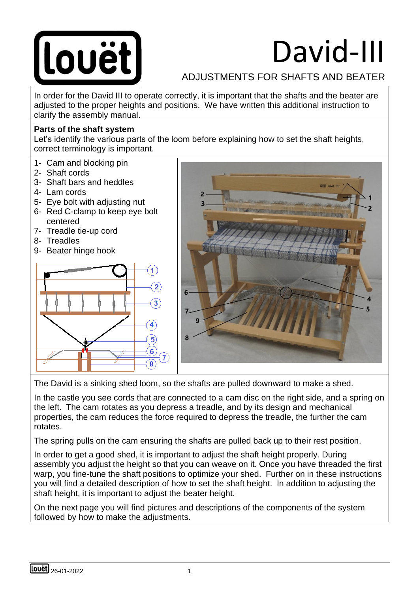

# David-III

## ADJUSTMENTS FOR SHAFTS AND BEATER

In order for the David III to operate correctly, it is important that the shafts and the beater are adjusted to the proper heights and positions. We have written this additional instruction to clarify the assembly manual.

#### **Parts of the shaft system**

Let's identify the various parts of the loom before explaining how to set the shaft heights, correct terminology is important.

- 1- Cam and blocking pin
- 2- Shaft cords
- 3- Shaft bars and heddles
- 4- Lam cords
- 5- Eye bolt with adjusting nut
- 6- Red C-clamp to keep eye bolt centered
- 7- Treadle tie-up cord
- 8- Treadles
- 9- Beater hinge hook





The David is a sinking shed loom, so the shafts are pulled downward to make a shed.

In the castle you see cords that are connected to a cam disc on the right side, and a spring on the left. The cam rotates as you depress a treadle, and by its design and mechanical properties, the cam reduces the force required to depress the treadle, the further the cam rotates.

The spring pulls on the cam ensuring the shafts are pulled back up to their rest position.

In order to get a good shed, it is important to adjust the shaft height properly. During assembly you adjust the height so that you can weave on it. Once you have threaded the first warp, you fine-tune the shaft positions to optimize your shed. Further on in these instructions you will find a detailed description of how to set the shaft height. In addition to adjusting the shaft height, it is important to adjust the beater height.

On the next page you will find pictures and descriptions of the components of the system followed by how to make the adjustments.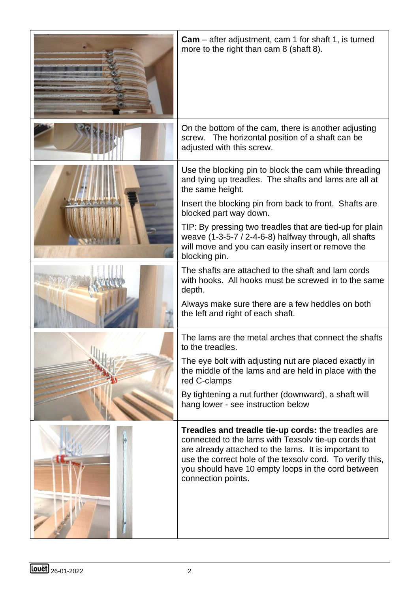| <b>Cam</b> – after adjustment, cam 1 for shaft 1, is turned<br>more to the right than cam 8 (shaft 8).                                                                                                                                                                                                       |
|--------------------------------------------------------------------------------------------------------------------------------------------------------------------------------------------------------------------------------------------------------------------------------------------------------------|
| On the bottom of the cam, there is another adjusting<br>screw. The horizontal position of a shaft can be<br>adjusted with this screw.                                                                                                                                                                        |
| Use the blocking pin to block the cam while threading<br>and tying up treadles. The shafts and lams are all at<br>the same height.                                                                                                                                                                           |
| Insert the blocking pin from back to front. Shafts are<br>blocked part way down.                                                                                                                                                                                                                             |
| TIP: By pressing two treadles that are tied-up for plain<br>weave $(1-3-5-7/2-4-6-8)$ halfway through, all shafts<br>will move and you can easily insert or remove the<br>blocking pin.                                                                                                                      |
| The shafts are attached to the shaft and lam cords<br>with hooks. All hooks must be screwed in to the same<br>depth.                                                                                                                                                                                         |
| Always make sure there are a few heddles on both<br>the left and right of each shaft.                                                                                                                                                                                                                        |
| The lams are the metal arches that connect the shafts<br>to the treadles.                                                                                                                                                                                                                                    |
| The eye bolt with adjusting nut are placed exactly in<br>the middle of the lams and are held in place with the<br>red C-clamps                                                                                                                                                                               |
| By tightening a nut further (downward), a shaft will<br>hang lower - see instruction below                                                                                                                                                                                                                   |
| Treadles and treadle tie-up cords: the treadles are<br>connected to the lams with Texsolv tie-up cords that<br>are already attached to the lams. It is important to<br>use the correct hole of the texsolv cord. To verify this,<br>you should have 10 empty loops in the cord between<br>connection points. |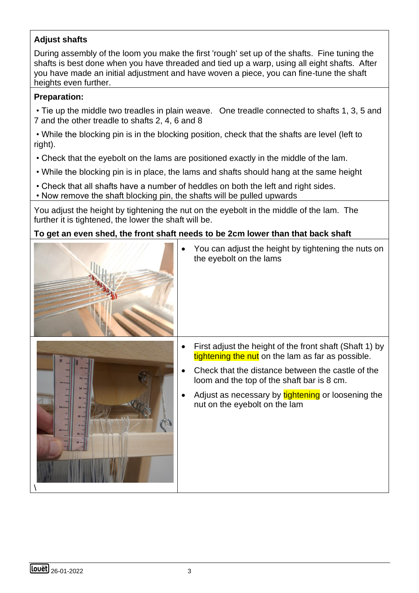### **Adjust shafts**

During assembly of the loom you make the first 'rough' set up of the shafts. Fine tuning the shafts is best done when you have threaded and tied up a warp, using all eight shafts. After you have made an initial adjustment and have woven a piece, you can fine-tune the shaft heights even further.

#### **Preparation:**

• Tie up the middle two treadles in plain weave. One treadle connected to shafts 1, 3, 5 and 7 and the other treadle to shafts 2, 4, 6 and 8

• While the blocking pin is in the blocking position, check that the shafts are level (left to right).

- Check that the eyebolt on the lams are positioned exactly in the middle of the lam.
- While the blocking pin is in place, the lams and shafts should hang at the same height
- Check that all shafts have a number of heddles on both the left and right sides.
- Now remove the shaft blocking pin, the shafts will be pulled upwards

You adjust the height by tightening the nut on the eyebolt in the middle of the lam. The further it is tightened, the lower the shaft will be.

#### **To get an even shed, the front shaft needs to be 2cm lower than that back shaft**





| First adjust the height of the front shaft (Shaft 1) by<br>tightening the nut on the lam as far as possible. |
|--------------------------------------------------------------------------------------------------------------|

• You can adjust the height by tightening the nuts on

the eyebolt on the lams

- Check that the distance between the castle of the loom and the top of the shaft bar is 8 cm.
- Adjust as necessary by tightening or loosening the nut on the eyebolt on the lam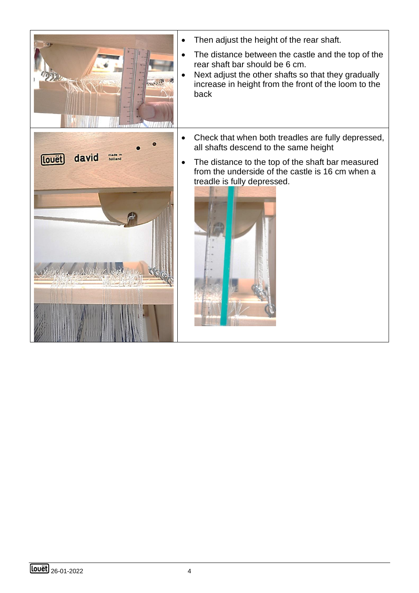

- Then adjust the height of the rear shaft.
- The distance between the castle and the top of the rear shaft bar should be 6 cm.
- Next adjust the other shafts so that they gradually increase in height from the front of the loom to the back



- Check that when both treadles are fully depressed, all shafts descend to the same height
- The distance to the top of the shaft bar measured from the underside of the castle is 16 cm when a treadle is fully depressed.

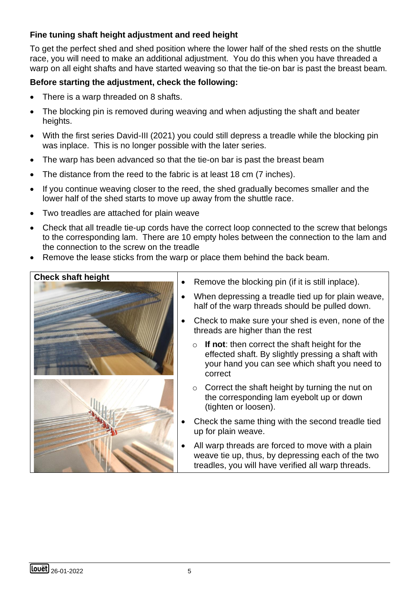#### **Fine tuning shaft height adjustment and reed height**

To get the perfect shed and shed position where the lower half of the shed rests on the shuttle race, you will need to make an additional adjustment. You do this when you have threaded a warp on all eight shafts and have started weaving so that the tie-on bar is past the breast beam.

#### **Before starting the adjustment, check the following:**

- There is a warp threaded on 8 shafts.
- The blocking pin is removed during weaving and when adjusting the shaft and beater heights.
- With the first series David-III (2021) you could still depress a treadle while the blocking pin was inplace. This is no longer possible with the later series.
- The warp has been advanced so that the tie-on bar is past the breast beam
- The distance from the reed to the fabric is at least 18 cm (7 inches).
- If you continue weaving closer to the reed, the shed gradually becomes smaller and the lower half of the shed starts to move up away from the shuttle race.
- Two treadles are attached for plain weave
- Check that all treadle tie-up cords have the correct loop connected to the screw that belongs to the corresponding lam. There are 10 empty holes between the connection to the lam and the connection to the screw on the treadle
- Remove the lease sticks from the warp or place them behind the back beam.



- Remove the blocking pin (if it is still inplace).
- When depressing a treadle tied up for plain weave, half of the warp threads should be pulled down.
- Check to make sure your shed is even, none of the threads are higher than the rest
	- o **If not**: then correct the shaft height for the effected shaft. By slightly pressing a shaft with your hand you can see which shaft you need to correct
	- $\circ$  Correct the shaft height by turning the nut on the corresponding lam eyebolt up or down (tighten or loosen).
- Check the same thing with the second treadle tied up for plain weave.
- All warp threads are forced to move with a plain weave tie up, thus, by depressing each of the two treadles, you will have verified all warp threads.